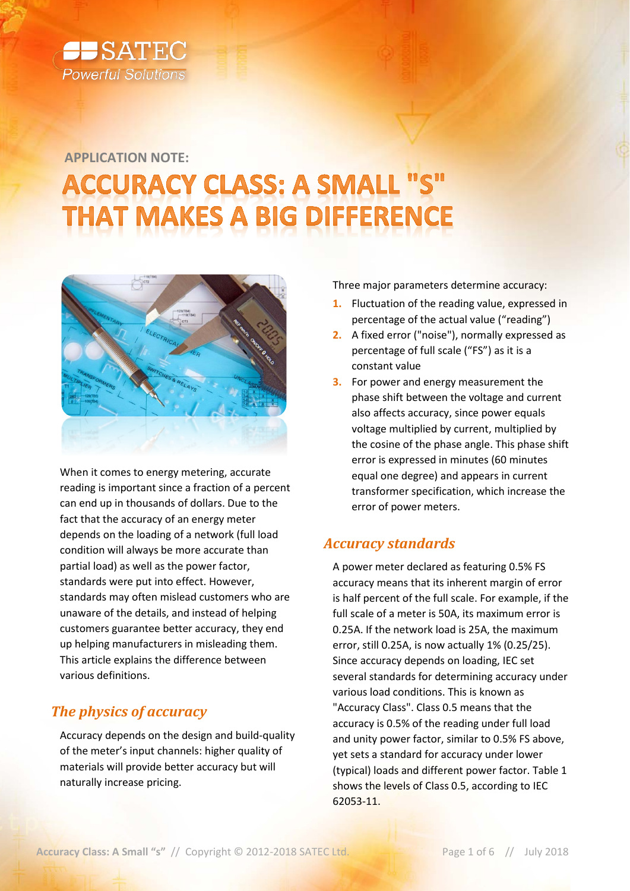

# **APPLICATION NOTE:ACCURACY CLASS: A SMALL "S" HAT MAKES A BIG DIFFERENCE**



When it comes to energy metering, accurate reading is important since a fraction of a percent can end up in thousands of dollars. Due to the fact that the accuracy of an energy meter depends on the loading of a network (full load condition will always be more accurate than partial load) as well as the power factor, standards were put into effect. However, standards may often mislead customers who are unaware of the details, and instead of helping customers guarantee better accuracy, they end up helping manufacturers in misleading them. This article explains the difference between various definitions.

# *The physics of accuracy*

Accuracy depends on the design and build-quality of the meter's input channels: higher quality of materials will provide better accuracy but will naturally increase pricing.

Three major parameters determine accuracy:

- **1.** Fluctuation of the reading value, expressed in percentage of the actual value ("reading")
- **2.** A fixed error ("noise"), normally expressed as percentage of full scale ("FS") as it is a constant value
- **3.** For power and energy measurement the phase shift between the voltage and current also affects accuracy, since power equals voltage multiplied by current, multiplied by the cosine of the phase angle. This phase shift error is expressed in minutes (60 minutes equal one degree) and appears in current transformer specification, which increase the error of power meters.

# *Accuracy standards*

A power meter declared as featuring 0.5% FS accuracy means that its inherent margin of error is half percent of the full scale. For example, if the full scale of a meter is 50A, its maximum error is 0.25A. If the network load is 25A, the maximum error, still 0.25A, is now actually 1% (0.25/25). Since accuracy depends on loading, IEC set several standards for determining accuracy under various load conditions. This is known as "Accuracy Class". Class 0.5 means that the accuracy is 0.5% of the reading under full load and unity power factor, similar to 0.5% FS above, yet sets a standard for accuracy under lower (typical) loads and different power factor[. Table 1](#page-1-0) shows the levels of Class 0.5, according to IEC 62053-11.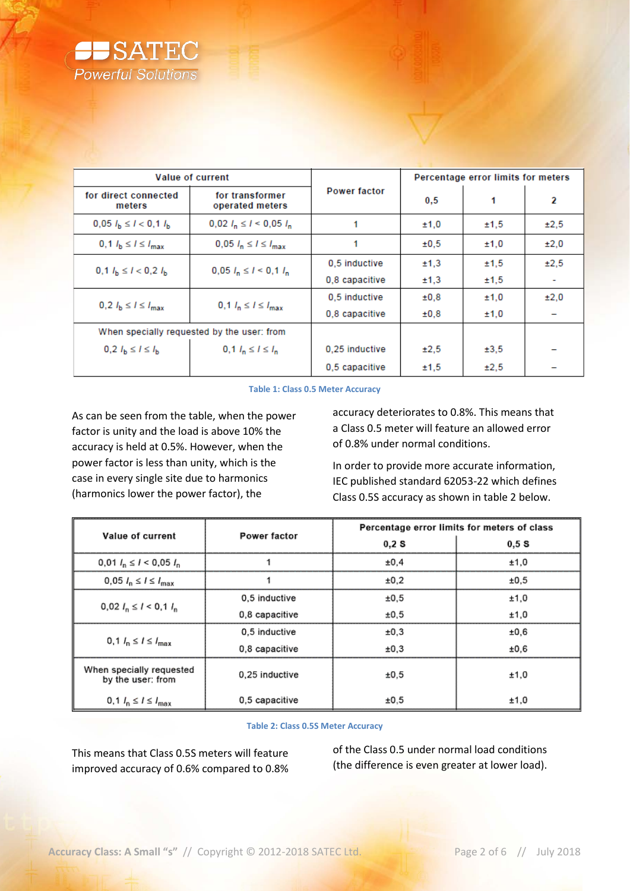

| <b>Value of current</b>                     |                                    | Percentage error limits for meters |      |      |                          |
|---------------------------------------------|------------------------------------|------------------------------------|------|------|--------------------------|
| for direct connected<br>meters              | for transformer<br>operated meters | <b>Power factor</b>                | 0.5  |      | 2                        |
| $0,05$ $I_{\rm b} \leq I < 0,1$ $I_{\rm b}$ | $0,02$ $l_n \le l \le 0,05$ $l_n$  |                                    | ±1,0 | ±1,5 | ±2,5                     |
| 0,1 $l_{\rm b} \le l \le l_{\rm max}$       | $0,05$ $l_n \le l \le l_{max}$     |                                    |      | ±1,0 | ±2.0                     |
| $0.1 l_h \le l < 0.2 l_h$                   | $0.05 l_n \le l \le 0.1 l_n$       | 0.5 inductive                      | ±1,3 | ±1,5 | ±2.5                     |
|                                             |                                    | 0.8 capacitive                     | ±1,3 | ±1,5 | $\overline{\phantom{a}}$ |
|                                             | 0,1 $l_n \le l \le l_{max}$        | 0.5 inductive                      | ±0.8 | ±1,0 | ±2.0                     |
| 0,2 $l_{\rm b} \le l \le l_{\rm max}$       |                                    | 0,8 capacitive                     | ±0.8 | ±1,0 |                          |
| When specially requested by the user: from  |                                    |                                    |      |      |                          |
| $0, 2 l_{\rm b} \le l \le l_{\rm b}$        | $0, 1 l_n \le l \le l_n$           | 0.25 inductive                     | ±2.5 | ±3,5 |                          |
|                                             |                                    | 0.5 capacitive                     | ±1.5 | ±2.5 |                          |

### **Table 1: Class 0.5 Meter Accuracy**

<span id="page-1-0"></span>As can be seen from the table, when the power factor is unity and the load is above 10% the accuracy is held at 0.5%. However, when the power factor is less than unity, which is the case in every single site due to harmonics (harmonics lower the power factor), the

accuracy deteriorates to 0.8%. This means that a Class 0.5 meter will feature an allowed error of 0.8% under normal conditions.

In order to provide more accurate information, IEC published standard 62053-22 which defines Class 0.5S accuracy as shown in table 2 below.

| Value of current                              | Power factor   | Percentage error limits for meters of class |      |  |  |  |
|-----------------------------------------------|----------------|---------------------------------------------|------|--|--|--|
|                                               |                | 0.2S                                        | 0.5S |  |  |  |
| $0,01$ $I_n \leq I < 0,05$ $I_n$              |                | ±0.4                                        | ±1,0 |  |  |  |
| 0,05 $l_n \le l \le l_{\text{max}}$           |                |                                             | ±0,5 |  |  |  |
|                                               | 0.5 inductive  | ±0,5                                        | ±1,0 |  |  |  |
| $0.02 I_n \le l < 0.1 I_n$                    | 0,8 capacitive | ±0,5                                        | ±1,0 |  |  |  |
|                                               | 0.5 inductive  | ±0.3                                        | ±0,6 |  |  |  |
| $0, 1 l_n \leq l \leq l_{\text{max}}$         | 0.8 capacitive | ±0,3                                        | ±0,6 |  |  |  |
| When specially requested<br>by the user: from | 0,25 inductive | ±0.5                                        | ±1,0 |  |  |  |
| 0,1 $l_n \leq l \leq l_{\text{max}}$          | 0,5 capacitive | ±0.5                                        | ±1,0 |  |  |  |

### **Table 2: Class 0.5S Meter Accuracy**

This means that Class 0.5S meters will feature improved accuracy of 0.6% compared to 0.8%

of the Class 0.5 under normal load conditions (the difference is even greater at lower load).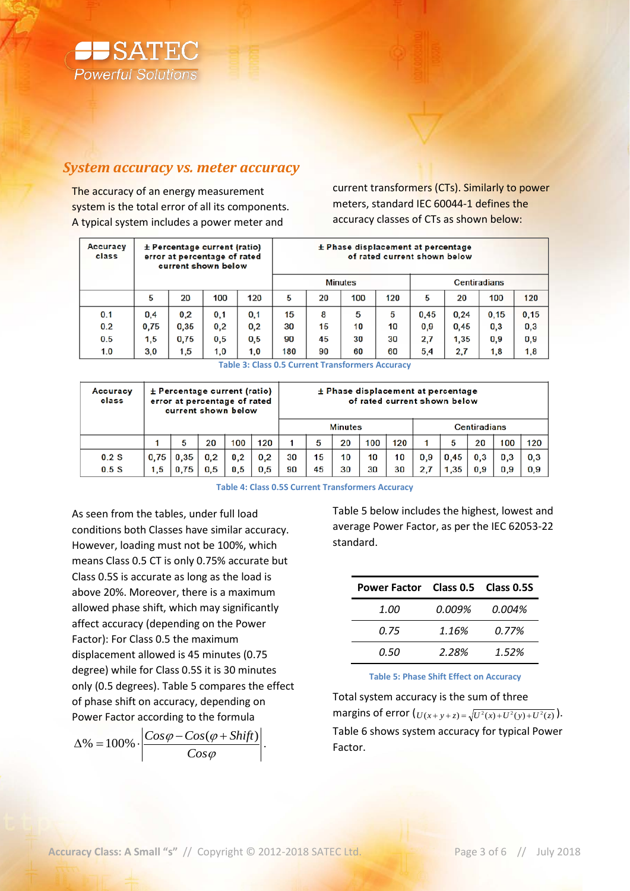

## *System accuracy vs. meter accuracy*

The accuracy of an energy measurement system is the total error of all its components. A typical system includes a power meter and

current transformers (CTs). Similarly to power meters, standard IEC 60044-1 defines the accuracy classes of CTs as shown below:

| Accuracy<br>class | $\pm$ Percentage current (ratio)<br>error at percentage of rated<br>current shown below |      |     |     |                | $\pm$ Phase displacement at percentage | of rated current shown below |     |                     |      |      |       |
|-------------------|-----------------------------------------------------------------------------------------|------|-----|-----|----------------|----------------------------------------|------------------------------|-----|---------------------|------|------|-------|
|                   |                                                                                         |      |     |     | <b>Minutes</b> |                                        |                              |     | <b>Centiradians</b> |      |      |       |
|                   | 5                                                                                       | 20   | 100 | 120 | 5              | 20                                     | 100                          | 120 | 5                   | 20   | 100  | 120   |
| 0.1               | 0,4                                                                                     | 0,2  | 0,1 | 0,1 | 15             | 8                                      | 5                            | 5   | 0,45                | 0.24 | 0.15 | 0, 15 |
| 0.2               | 0.75                                                                                    | 0.35 | 0,2 | 0,2 | 30             | 15                                     | 10                           | 10  | 0,9                 | 0,45 | 0,3  | 0,3   |
| 0.5               | 1,5                                                                                     | 0.75 | 0,5 | 0,5 | 90             | 45                                     | 30                           | 30  | 2,7                 | 1,35 | 0.9  | 0,9   |
| 1.0               | 3,0                                                                                     | 1,5  | 1,0 | 1,0 | 180            | 90                                     | 60                           | 60  | 5,4                 | 2.7  | 1,8  | 1,8   |

**Table 3: Class 0.5 Current Transformers Accuracy**

| Accuracy<br>class | $±$ Percentage current (ratio)<br>error at percentage of rated<br>current shown below |      |     | $±$ Phase displacement at percentage<br>of rated current shown below |     |    |    |                |     |     |              |                     |                     |     |     |
|-------------------|---------------------------------------------------------------------------------------|------|-----|----------------------------------------------------------------------|-----|----|----|----------------|-----|-----|--------------|---------------------|---------------------|-----|-----|
|                   |                                                                                       |      |     |                                                                      |     |    |    | <b>Minutes</b> |     |     |              |                     | <b>Centiradians</b> |     |     |
|                   |                                                                                       | 5    | 20  | 100                                                                  | 120 | 1  | 5  | 20             | 100 | 120 |              | 5                   | 20                  | 100 | 120 |
| $0.2$ S           | 0.75                                                                                  | 0.35 | 0.2 | 0,2                                                                  | 0.2 | 30 | 15 | 10             | 10  | 10  | 0.9          | 0.45                | 0.3                 | 0.3 | 0,3 |
| 0.5S              | 1,5                                                                                   | 0.75 | 0.5 | 0.5                                                                  | 0.5 | 90 | 45 | 30             | 30  | 30  | $\mathbf{2}$ | $1.35$ <sup>1</sup> | 0.9                 | 0.9 | 0,9 |

**Table 4: Class 0.5S Current Transformers Accuracy**

As seen from the tables, under full load conditions both Classes have similar accuracy. However, loading must not be 100%, which means Class 0.5 CT is only 0.75% accurate but Class 0.5S is accurate as long as the load is above 20%. Moreover, there is a maximum allowed phase shift, which may significantly affect accuracy (depending on the Power Factor): For Class 0.5 the maximum displacement allowed is 45 minutes (0.75 degree) while for Class 0.5S it is 30 minutes only (0.5 degrees)[. Table 5](#page-2-0) compares the effect of phase shift on accuracy, depending on Power Factor according to the formula

ϕ  $\varphi$  – Cos( $\varphi$ *Cos*  $\Delta\% = 100\% \cdot \left| \frac{Cos\varphi - Cos(\varphi + Shift)}{cos\varphi - Cos(\varphi + Shift)} \right|.$  [Table 5](#page-2-0) below includes the highest, lowest and average Power Factor, as per the IEC 62053-22 standard.

| Power Factor Class 0.5 Class 0.5S |        |        |
|-----------------------------------|--------|--------|
| <i>1.00</i>                       | 0.009% | 0.004% |
| 0.75                              | 1.16%  | 0.77%  |
| 0.50                              | 2.28%  | 1.52%  |

**Table 5: Phase Shift Effect on Accuracy**

<span id="page-2-0"></span>Total system accuracy is the sum of three margins of error  $\left( U(x + y + z) = \sqrt{U^2(x) + U^2(y) + U^2(z)} \right).$ [Table 6](#page-3-0) shows system accuracy for typical Power Factor.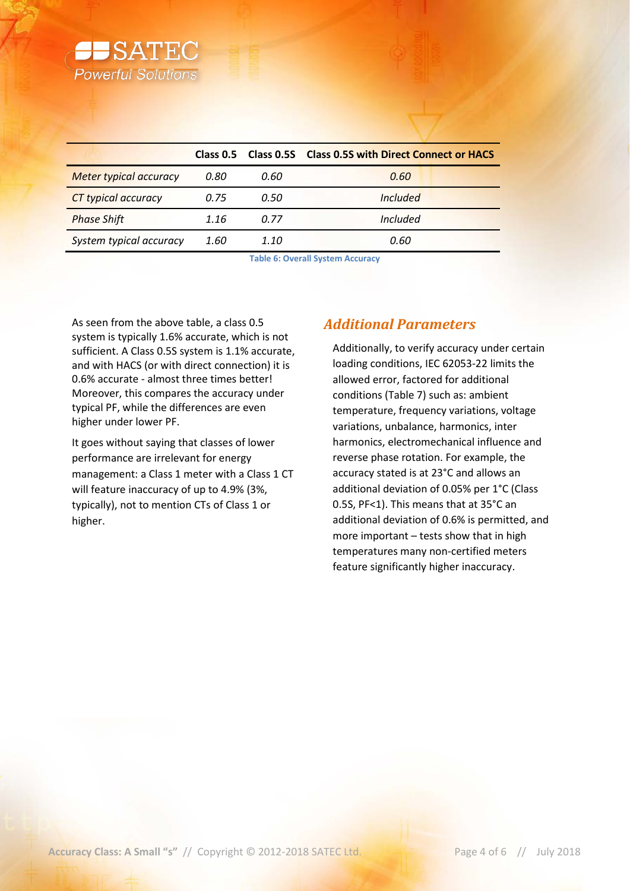

|                               |      |      | Class 0.5 Class 0.5S Class 0.5S with Direct Connect or HACS |
|-------------------------------|------|------|-------------------------------------------------------------|
| <b>Meter typical accuracy</b> | 0.80 | 0.60 | 0.60                                                        |
| <b>CT</b> typical accuracy    | 0.75 | 0.50 | <i><u><b>Included</b></u></i>                               |
| <b>Phase Shift</b>            | 1.16 | 0.77 | Included                                                    |
| System typical accuracy       | 1.60 | 1.10 | 0.60                                                        |

**Table 6: Overall System Accuracy**

<span id="page-3-0"></span>As seen from the above table, a class 0.5 system is typically 1.6% accurate, which is not sufficient. A Class 0.5S system is 1.1% accurate, and with HACS (or with direct connection) it is 0.6% accurate - almost three times better! Moreover, this compares the accuracy under typical PF, while the differences are even higher under lower PF.

It goes without saying that classes of lower performance are irrelevant for energy management: a Class 1 meter with a Class 1 CT will feature inaccuracy of up to 4.9% (3%, typically), not to mention CTs of Class 1 or higher.

# *Additional Parameters*

Additionally, to verify accuracy under certain loading conditions, IEC 62053-22 limits the allowed error, factored for additional conditions [\(Table 7\)](#page-4-0) such as: ambient temperature, frequency variations, voltage variations, unbalance, harmonics, inter harmonics, electromechanical influence and reverse phase rotation. For example, the accuracy stated is at 23°C and allows an additional deviation of 0.05% per 1°C (Class 0.5S, PF<1). This means that at 35°C an additional deviation of 0.6% is permitted, and more important – tests show that in high temperatures many non-certified meters feature significantly higher inaccuracy.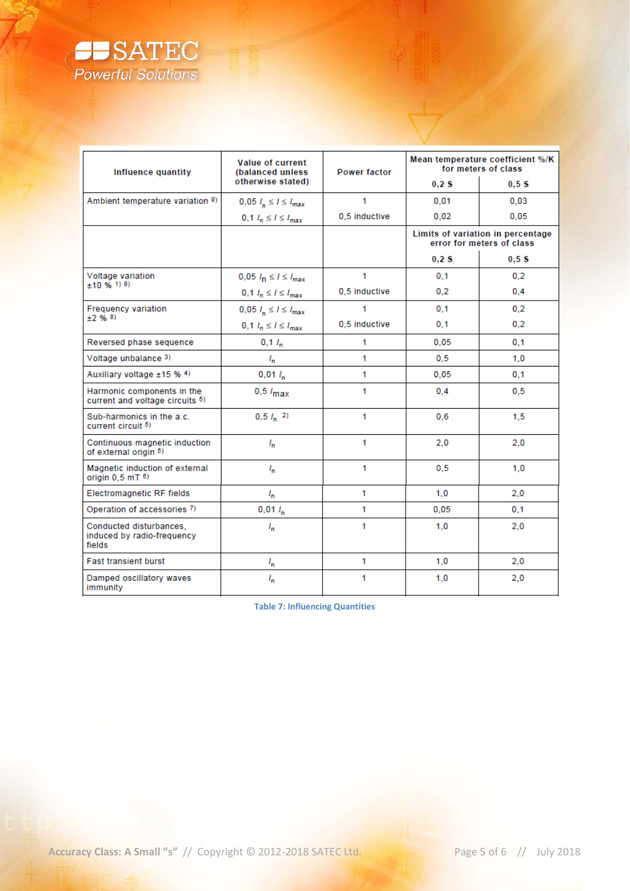

| <b>Influence quantity</b>                                       | <b>Value of current</b><br>(balanced unless | <b>Power factor</b> | Mean temperature coefficient %/K<br>for meters of class |                                                                |  |  |
|-----------------------------------------------------------------|---------------------------------------------|---------------------|---------------------------------------------------------|----------------------------------------------------------------|--|--|
|                                                                 | otherwise stated)                           |                     | 0.2S                                                    | 0.5S                                                           |  |  |
| Ambient temperature variation 9)                                | $0,05$ $I_n \leq I \leq I_{max}$            | 1                   | 0.01                                                    | 0.03                                                           |  |  |
|                                                                 | $0, 1$ $l_n \le l \le l_{\text{max}}$       | 0,5 inductive       | 0,02                                                    | 0,05                                                           |  |  |
|                                                                 |                                             |                     |                                                         | Limits of variation in percentage<br>error for meters of class |  |  |
|                                                                 |                                             |                     | 0.2S                                                    | 0.5S                                                           |  |  |
| Voltage variation<br>$±10 \%$ 1) 8)                             | $0,05$ $l_{\rm n} \le l \le l_{\rm max}$    | 1                   | 0.1                                                     | 0,2                                                            |  |  |
|                                                                 | $0, 1$ $l_n \le l \le l_{\text{max}}$       | 0,5 inductive       | 0,2                                                     | 0.4                                                            |  |  |
| <b>Frequency variation</b>                                      | $0,05$ $I_n \leq I \leq I_{max}$            | 1                   | 0.1                                                     | 0,2                                                            |  |  |
| $±2\%8$                                                         | $0, 1$ $I_n \leq I \leq I_{\text{max}}$     | 0,5 inductive       | 0,1                                                     | 0,2                                                            |  |  |
| Reversed phase sequence                                         | $0,1 l_n$                                   | 1                   | 0,05                                                    | 0,1                                                            |  |  |
| Voltage unbalance 3)                                            | $I_{\sf n}$                                 | 1.                  | 0.5                                                     | 1.0                                                            |  |  |
| Auxiliary voltage ±15 % 4)                                      | $0,01 l_n$                                  | 1                   | 0,05                                                    | 0,1                                                            |  |  |
| Harmonic components in the<br>current and voltage circuits 5)   | $0,5$ $l_{\text{max}}$                      | 1                   | 0.4                                                     | 0.5                                                            |  |  |
| Sub-harmonics in the a.c.<br>current circuit 5)                 | $0,5 l_n$ <sup>2</sup> )                    | 1                   | 0.6                                                     | 1,5                                                            |  |  |
| Continuous magnetic induction<br>of external origin 5)          | $I_{\rm n}$                                 | 1                   | 2.0                                                     | 2,0                                                            |  |  |
| Magnetic induction of external<br>origin $0.5$ mT $6$ )         | $I_{\rm n}$                                 | 1                   | 0.5                                                     | 1.0                                                            |  |  |
| <b>Electromagnetic RF fields</b>                                | $I_{n}$                                     | 1.                  | 1,0                                                     | 2,0                                                            |  |  |
| Operation of accessories 7)                                     | $0,01 l_n$                                  | 1.                  | 0.05                                                    | 0,1                                                            |  |  |
| Conducted disturbances.<br>induced by radio-frequency<br>fields | $I_{\sf n}$                                 | 1                   | 1,0                                                     | 2,0                                                            |  |  |
| <b>Fast transient burst</b>                                     | $I_{\sf n}$                                 | 1                   | 1.0                                                     | 2,0                                                            |  |  |
| Damped oscillatory waves<br>immunity                            | $I_{\rm m}$                                 | 1                   | 1,0                                                     | 2,0                                                            |  |  |

<span id="page-4-0"></span>**Table 7: Influencing Quantities**